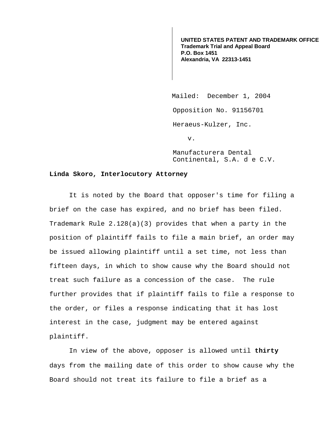**UNITED STATES PATENT AND TRADEMARK OFFICE Trademark Trial and Appeal Board P.O. Box 1451 Alexandria, VA 22313-1451**

Mailed: December 1, 2004 Opposition No. 91156701 Heraeus-Kulzer, Inc. v.

Manufacturera Dental Continental, S.A. d e C.V.

## **Linda Skoro, Interlocutory Attorney**

It is noted by the Board that opposer's time for filing a brief on the case has expired, and no brief has been filed. Trademark Rule 2.128(a)(3) provides that when a party in the position of plaintiff fails to file a main brief, an order may be issued allowing plaintiff until a set time, not less than fifteen days, in which to show cause why the Board should not treat such failure as a concession of the case. The rule further provides that if plaintiff fails to file a response to the order, or files a response indicating that it has lost interest in the case, judgment may be entered against plaintiff.

In view of the above, opposer is allowed until **thirty** days from the mailing date of this order to show cause why the Board should not treat its failure to file a brief as a